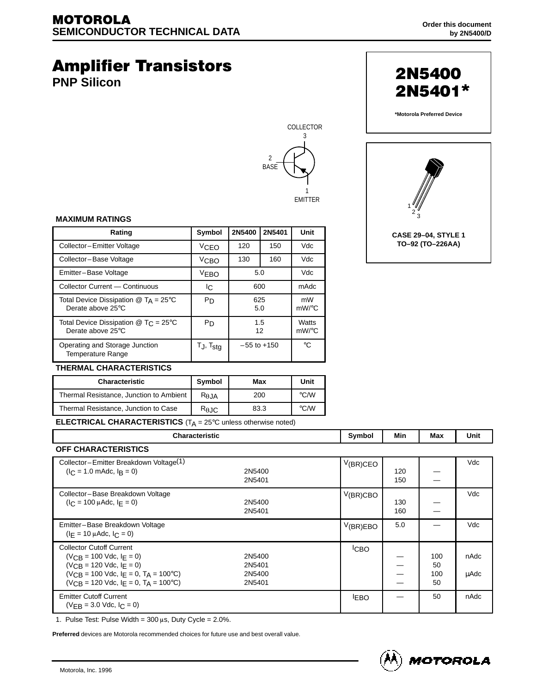# **Amplifier Transistors**

**PNP Silicon**





**\*Motorola Preferred Device**



#### **MAXIMUM RATINGS**

| Rating                                                                  | Symbol               | 2N5400          | 2N5401 | Unit              |
|-------------------------------------------------------------------------|----------------------|-----------------|--------|-------------------|
| Collector-Emitter Voltage                                               | VCEO                 | 120             | 150    | Vdc               |
| Collector-Base Voltage                                                  | V <sub>CBO</sub>     | 130             | 160    | Vdc               |
| Emitter-Base Voltage                                                    | <b>VEBO</b>          | 5.0             |        | Vdc               |
| Collector Current - Continuous                                          | IС                   | 600             |        | mAdc              |
| Total Device Dissipation $@$ T <sub>A</sub> = 25°C<br>Derate above 25°C | P <sub>D</sub>       | 625<br>5.0      |        | mW<br>$mW$ /°C    |
| Total Device Dissipation $@$ T <sub>C</sub> = 25°C<br>Derate above 25°C | P <sub>D</sub>       | 1.5<br>12       |        | Watts<br>$mW$ /°C |
| Operating and Storage Junction<br><b>Temperature Range</b>              | T., T <sub>stg</sub> | $-55$ to $+150$ |        | $^{\circ}C$       |

#### **THERMAL CHARACTERISTICS**

| <b>Characteristic</b>                   | Symbol          | Max  | Unit               |
|-----------------------------------------|-----------------|------|--------------------|
| Thermal Resistance, Junction to Ambient | $R_{\theta$ JA  | 200  | $\rm ^{\circ}$ C/W |
| Thermal Resistance, Junction to Case    | $R_{\theta}$ JC | 83.3 | $\degree$ C/W      |

**ELECTRICAL CHARACTERISTICS** (T<sub>A</sub> = 25°C unless otherwise noted)

| Characteristic                                                                                                                                                                                                 |                                      | Symbol           | Min        | Max                    | Unit         |
|----------------------------------------------------------------------------------------------------------------------------------------------------------------------------------------------------------------|--------------------------------------|------------------|------------|------------------------|--------------|
| <b>OFF CHARACTERISTICS</b>                                                                                                                                                                                     |                                      |                  |            |                        |              |
| Collector-Emitter Breakdown Voltage <sup>(1)</sup><br>$(I_C = 1.0 \text{ m}$ Adc, $I_B = 0$ )                                                                                                                  | 2N5400<br>2N5401                     | $V(BR)$ CEO      | 120<br>150 |                        | Vdc          |
| Collector-Base Breakdown Voltage<br>$(I_C = 100 \mu A d c, I_F = 0)$                                                                                                                                           | 2N5400<br>2N5401                     | $V_{(BR)CBO}$    | 130<br>160 |                        | Vdc          |
| Emitter-Base Breakdown Voltage<br>$(I_F = 10 \mu \text{Adc}, I_C = 0)$                                                                                                                                         |                                      | V(BR)EBO         | 5.0        |                        | Vdc          |
| <b>Collector Cutoff Current</b><br>$(V_{CR} = 100$ Vdc, $ F = 0$ )<br>$(V_{CR} = 120$ Vdc, $I_F = 0$ )<br>$(V_{CR} = 100$ Vdc, $I_F = 0$ , $T_A = 100$ °C)<br>$(V_{CR} = 120$ Vdc, $I_F = 0$ , $T_A = 100$ °C) | 2N5400<br>2N5401<br>2N5400<br>2N5401 | <sup>I</sup> CBO |            | 100<br>50<br>100<br>50 | nAdc<br>µAdc |
| <b>Emitter Cutoff Current</b><br>$(V_{FB} = 3.0$ Vdc, $I_C = 0$ )                                                                                                                                              |                                      | <b>EBO</b>       |            | 50                     | nAdc         |

1. Pulse Test: Pulse Width =  $300 \mu s$ , Duty Cycle =  $2.0\%$ .

**Preferred** devices are Motorola recommended choices for future use and best overall value.

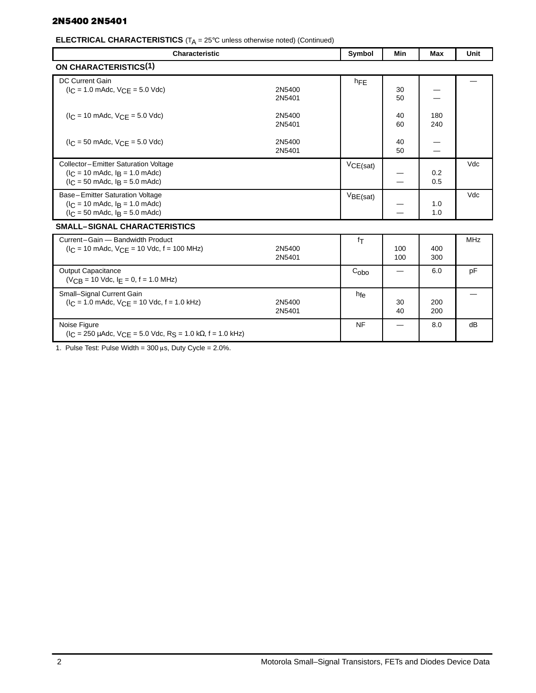# 2N5400 2N5401

**ELECTRICAL CHARACTERISTICS** (T<sub>A</sub> = 25°C unless otherwise noted) (Continued)

| <b>Characteristic</b>                                                                                                                             |                  | Symbol          | Min        | Max        | Unit       |
|---------------------------------------------------------------------------------------------------------------------------------------------------|------------------|-----------------|------------|------------|------------|
| ON CHARACTERISTICS <sup>(1)</sup>                                                                                                                 |                  |                 |            |            |            |
| <b>DC Current Gain</b><br>$(I_C = 1.0 \text{ m}$ Adc, $V_{CE} = 5.0 \text{ V}$ dc)                                                                | 2N5400<br>2N5401 | hFE             | 30<br>50   |            |            |
| $I_C = 10$ mAdc, $V_{C,F} = 5.0$ Vdc)                                                                                                             | 2N5400<br>2N5401 |                 | 40<br>60   | 180<br>240 |            |
| $I_C = 50$ mAdc, $V_{C,F} = 5.0$ Vdc)                                                                                                             | 2N5400<br>2N5401 |                 | 40<br>50   |            |            |
| Collector-Emitter Saturation Voltage<br>$(I_C = 10 \text{ m}$ Adc, $I_B = 1.0 \text{ m}$ Adc)<br>$I_C = 50$ mAdc, $I_R = 5.0$ mAdc)               |                  | VCE(sat)        |            | 0.2<br>0.5 | Vdc        |
| Base-Emitter Saturation Voltage<br>$(l_C = 10 \text{ m}$ Adc, $l_B = 1.0 \text{ m}$ Adc)<br>$(I_C = 50 \text{ m}$ Adc, $I_B = 5.0 \text{ m}$ Adc) |                  | VBE(sat)        |            | 1.0<br>1.0 | Vdc        |
| <b>SMALL-SIGNAL CHARACTERISTICS</b>                                                                                                               |                  |                 |            |            |            |
| Current-Gain - Bandwidth Product<br>$(I_C = 10 \text{ m}$ Adc, $V_{CE} = 10 \text{ V}$ dc, f = 100 MHz)                                           | 2N5400<br>2N5401 | fτ              | 100<br>100 | 400<br>300 | <b>MHz</b> |
| <b>Output Capacitance</b><br>$(V_{CB} = 10$ Vdc, $I_F = 0$ , $f = 1.0$ MHz)                                                                       |                  | $C_{\rm obo}$   |            | 6.0        | pF         |
| Small-Signal Current Gain<br>$(I_C = 1.0 \text{ m}$ Adc, $V_{CE} = 10 \text{ Vdc}$ , f = 1.0 kHz)                                                 | 2N5400<br>2N5401 | h <sub>fe</sub> | 30<br>40   | 200<br>200 |            |
| Noise Figure<br>$(1_C = 250 \mu A d c, V_{CF} = 5.0 \text{ V} d c, R_S = 1.0 \text{ k}\Omega, f = 1.0 \text{ kHz})$                               |                  | <b>NF</b>       |            | 8.0        | dB         |

1. Pulse Test: Pulse Width =  $300 \,\mu s$ , Duty Cycle =  $2.0\%$ .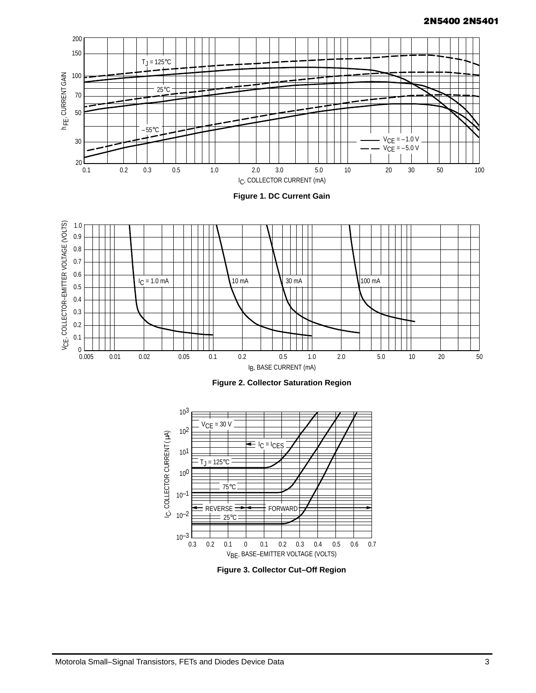

**Figure 1. DC Current Gain**







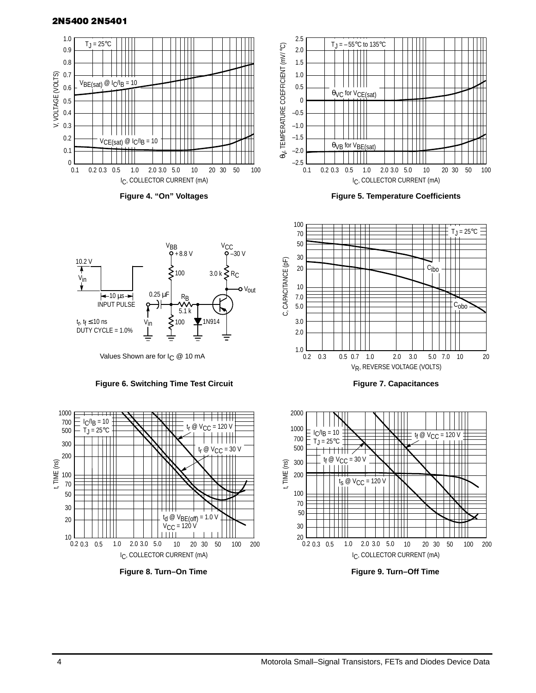## 2N5400 2N5401



**Figure 4. "On" Voltages**





**Figure 7. Capacitances**



**Figure 9. Turn–Off Time**



Values Shown are for I<sub>C</sub> @ 10 mA

#### **Figure 6. Switching Time Test Circuit**



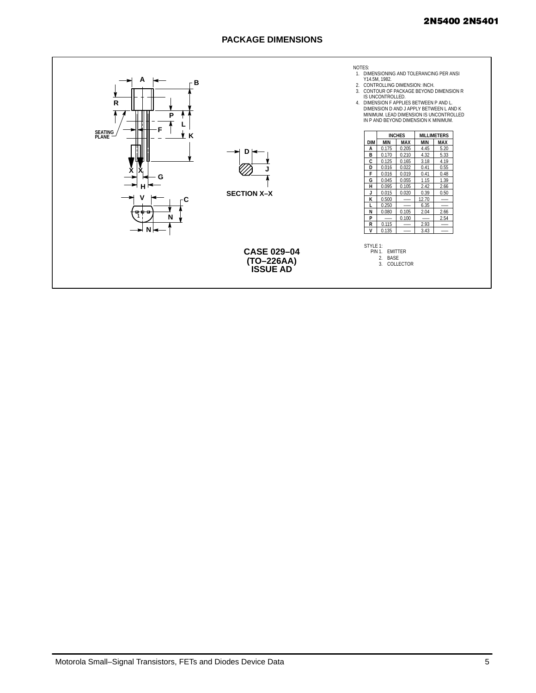## 2N5400 2N5401

# **PACKAGE DIMENSIONS**